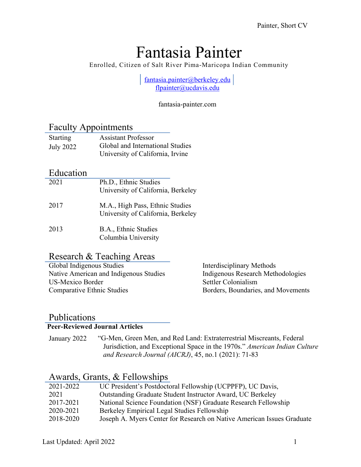# Fantasia Painter

Enrolled, Citizen of Salt River Pima-Maricopa Indian Community

fantasia.painter@berkeley.edu flpainter@ucdavis.edu

fantasia-painter.com

#### Faculty Appointments

| <b>Starting</b> | <b>Assistant Professor</b>       |
|-----------------|----------------------------------|
| July 2022       | Global and International Studies |
|                 | University of California, Irvine |

#### Education

| 2021 | Ph.D., Ethnic Studies<br>University of California, Berkeley           |
|------|-----------------------------------------------------------------------|
| 2017 | M.A., High Pass, Ethnic Studies<br>University of California, Berkeley |
| 2013 | B.A., Ethnic Studies<br>Columbia University                           |

#### Research & Teaching Areas

| Global Indigenous Studies              | Interdisciplinary Methods          |
|----------------------------------------|------------------------------------|
| Native American and Indigenous Studies | Indigenous Research Methodologies  |
| US-Mexico Border                       | Settler Colonialism                |
| Comparative Ethnic Studies             | Borders, Boundaries, and Movements |

#### Publications

#### **Peer-Reviewed Journal Articles**

January 2022 "G-Men, Green Men, and Red Land: Extraterrestrial Miscreants, Federal Jurisdiction, and Exceptional Space in the 1970s." *American Indian Culture and Research Journal (AICRJ)*, 45, no.1 (2021): 71-83

### Awards, Grants, & Fellowships

| 2021-2022 | UC President's Postdoctoral Fellowship (UCPPFP), UC Davis,             |
|-----------|------------------------------------------------------------------------|
| 2021      | Outstanding Graduate Student Instructor Award, UC Berkeley             |
| 2017-2021 | National Science Foundation (NSF) Graduate Research Fellowship         |
| 2020-2021 | Berkeley Empirical Legal Studies Fellowship                            |
| 2018-2020 | Joseph A. Myers Center for Research on Native American Issues Graduate |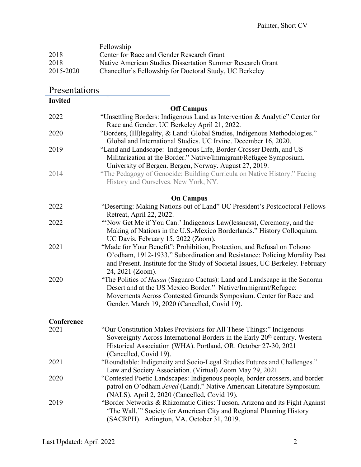|           | Fellowship                                                 |
|-----------|------------------------------------------------------------|
| 2018      | Center for Race and Gender Research Grant                  |
| 2018      | Native American Studies Dissertation Summer Research Grant |
| 2015-2020 | Chancellor's Fellowship for Doctoral Study, UC Berkeley    |

| <b>Invited</b> |                                                                                                                                                                                                                                                                    |
|----------------|--------------------------------------------------------------------------------------------------------------------------------------------------------------------------------------------------------------------------------------------------------------------|
|                | <b>Off Campus</b>                                                                                                                                                                                                                                                  |
| 2022           | "Unsettling Borders: Indigenous Land as Intervention & Analytic" Center for<br>Race and Gender. UC Berkeley April 21, 2022.                                                                                                                                        |
| 2020           | "Borders, (Ill)legality, & Land: Global Studies, Indigenous Methodologies."<br>Global and International Studies. UC Irvine. December 16, 2020.                                                                                                                     |
| 2019           | "Land and Landscape: Indigenous Life, Border-Crosser Death, and US<br>Militarization at the Border." Native/Immigrant/Refugee Symposium.<br>University of Bergen. Bergen, Norway. August 27, 2019.                                                                 |
| 2014           | "The Pedagogy of Genocide: Building Curricula on Native History." Facing<br>History and Ourselves. New York, NY.                                                                                                                                                   |
|                | <b>On Campus</b>                                                                                                                                                                                                                                                   |
| 2022           | "Deserting: Making Nations out of Land" UC President's Postdoctoral Fellows<br>Retreat, April 22, 2022.                                                                                                                                                            |
| 2022           | "Now Get Me if You Can:' Indigenous Law(lessness), Ceremony, and the<br>Making of Nations in the U.S.-Mexico Borderlands." History Colloquium.<br>UC Davis. February 15, 2022 (Zoom).                                                                              |
| 2021           | "Made for Your Benefit": Prohibition, Protection, and Refusal on Tohono<br>O'odham, 1912-1933." Subordination and Resistance: Policing Morality Past<br>and Present. Institute for the Study of Societal Issues, UC Berkeley. February<br>24, 2021 (Zoom).         |
| 2020           | "The Politics of Hasan (Saguaro Cactus): Land and Landscape in the Sonoran<br>Desert and at the US Mexico Border." Native/Immigrant/Refugee:<br>Movements Across Contested Grounds Symposium. Center for Race and<br>Gender. March 19, 2020 (Cancelled, Covid 19). |
| Conference     |                                                                                                                                                                                                                                                                    |
| 2021           | "Our Constitution Makes Provisions for All These Things:" Indigenous<br>Sovereignty Across International Borders in the Early 20 <sup>th</sup> century. Western<br>Historical Association (WHA). Portland, OR. October 27-30, 2021<br>(Cancelled, Covid 19).       |
| 2021           | "Roundtable: Indigeneity and Socio-Legal Studies Futures and Challenges."<br>Law and Society Association. (Virtual) Zoom May 29, 2021                                                                                                                              |
| 2020           | "Contested Poetic Landscapes: Indigenous people, border crossers, and border<br>patrol on O'odham Jeved (Land)." Native American Literature Symposium<br>(NALS). April 2, 2020 (Cancelled, Covid 19).                                                              |
| 2019           | "Border Networks & Rhizomatic Cities: Tucson, Arizona and its Fight Against<br>'The Wall."" Society for American City and Regional Planning History<br>(SACRPH). Arlington, VA. October 31, 2019.                                                                  |